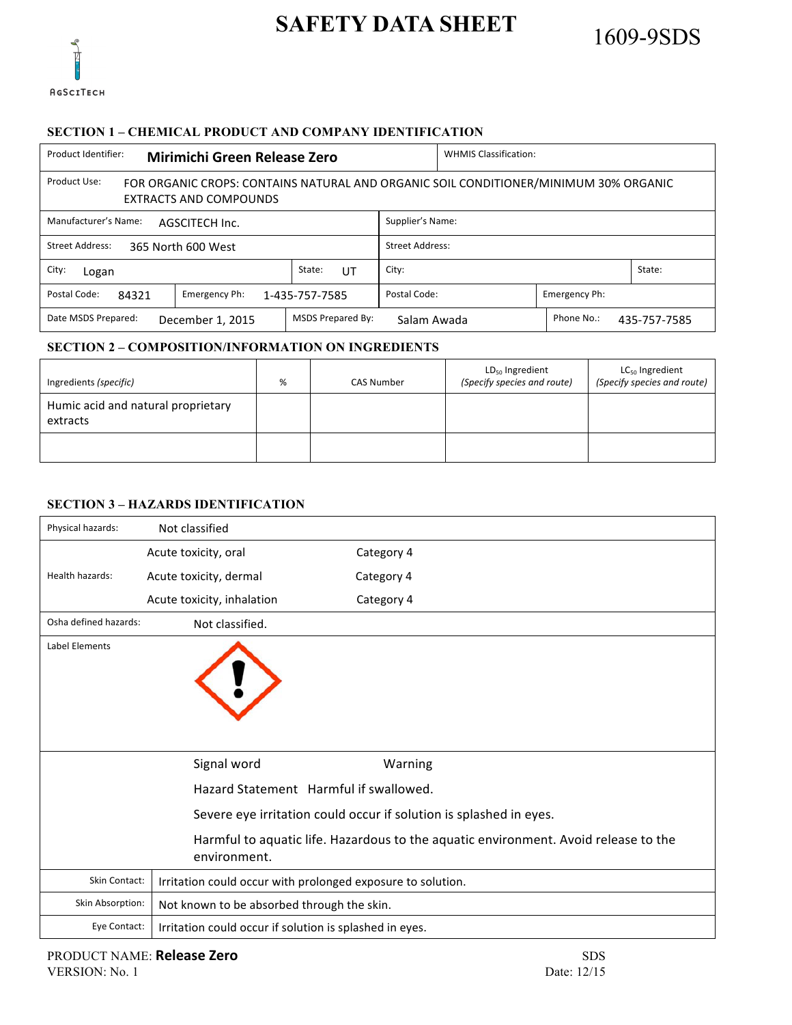

### **SECTION 1 – CHEMICAL PRODUCT AND COMPANY IDENTIFICATION**

| Product Identifier:<br><b>Mirimichi Green Release Zero</b>                                                                            | <b>WHMIS Classification:</b> |                               |  |            |              |
|---------------------------------------------------------------------------------------------------------------------------------------|------------------------------|-------------------------------|--|------------|--------------|
| Product Use:<br>FOR ORGANIC CROPS: CONTAINS NATURAL AND ORGANIC SOIL CONDITIONER/MINIMUM 30% ORGANIC<br><b>EXTRACTS AND COMPOUNDS</b> |                              |                               |  |            |              |
| Manufacturer's Name:<br>AGSCITECH Inc.                                                                                                |                              | Supplier's Name:              |  |            |              |
| <b>Street Address:</b><br>365 North 600 West                                                                                          |                              | <b>Street Address:</b>        |  |            |              |
| City:<br>Logan                                                                                                                        | State:<br>UT                 | City:<br>State:               |  |            |              |
| Postal Code:<br>Emergency Ph:<br>84321                                                                                                | 1-435-757-7585               | Postal Code:<br>Emergency Ph: |  |            |              |
| Date MSDS Prepared:<br>December 1, 2015                                                                                               | <b>MSDS Prepared By:</b>     | Salam Awada                   |  | Phone No.: | 435-757-7585 |

## **SECTION 2 – COMPOSITION/INFORMATION ON INGREDIENTS**

| Ingredients (specific)                         | % | CAS Number | $LD_{50}$ Ingredient<br>(Specify species and route) | LC <sub>50</sub> Ingredient<br>(Specify species and route) |
|------------------------------------------------|---|------------|-----------------------------------------------------|------------------------------------------------------------|
| Humic acid and natural proprietary<br>extracts |   |            |                                                     |                                                            |
|                                                |   |            |                                                     |                                                            |

## **SECTION 3 – HAZARDS IDENTIFICATION**

| Physical hazards:     | Not classified                                              |                                                                                     |
|-----------------------|-------------------------------------------------------------|-------------------------------------------------------------------------------------|
|                       | Acute toxicity, oral                                        | Category 4                                                                          |
| Health hazards:       | Acute toxicity, dermal                                      | Category 4                                                                          |
|                       | Acute toxicity, inhalation                                  | Category 4                                                                          |
| Osha defined hazards: | Not classified.                                             |                                                                                     |
| <b>Label Elements</b> |                                                             |                                                                                     |
|                       | Signal word                                                 | Warning                                                                             |
|                       | Hazard Statement Harmful if swallowed.                      |                                                                                     |
|                       |                                                             | Severe eye irritation could occur if solution is splashed in eyes.                  |
|                       | environment.                                                | Harmful to aquatic life. Hazardous to the aquatic environment. Avoid release to the |
| <b>Skin Contact:</b>  | Irritation could occur with prolonged exposure to solution. |                                                                                     |
| Skin Absorption:      | Not known to be absorbed through the skin.                  |                                                                                     |
| Eye Contact:          | Irritation could occur if solution is splashed in eyes.     |                                                                                     |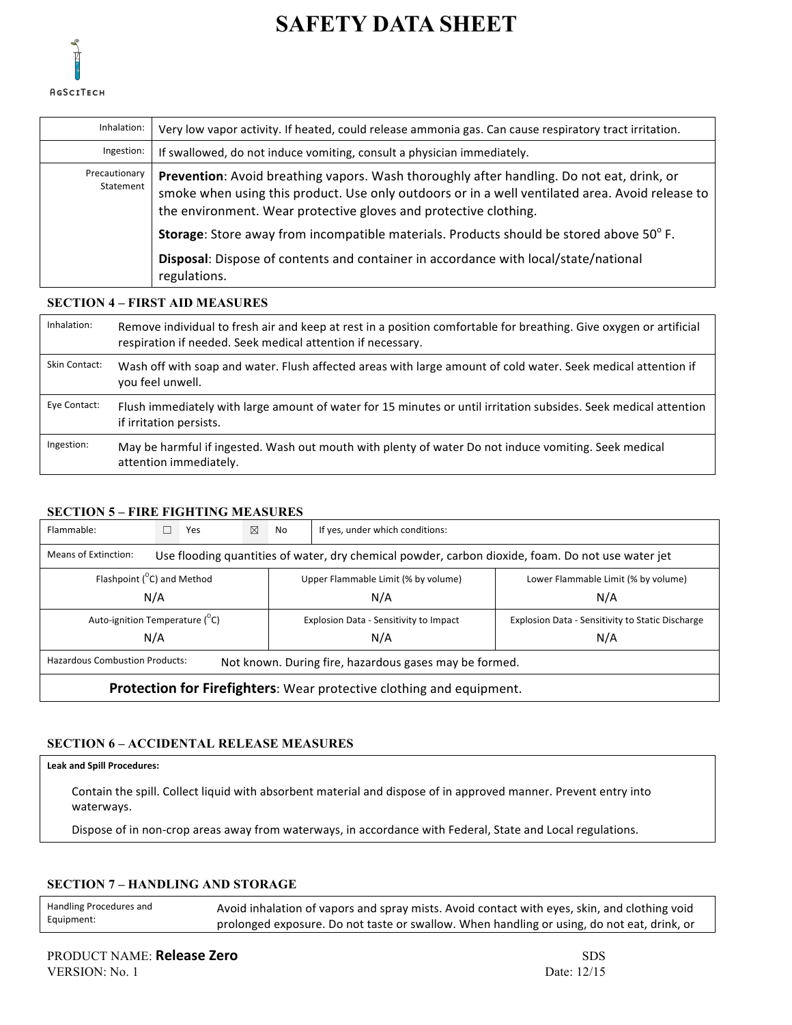

| Inhalation:                | Very low vapor activity. If heated, could release ammonia gas. Can cause respiratory tract irritation.                                                                                                                                                           |
|----------------------------|------------------------------------------------------------------------------------------------------------------------------------------------------------------------------------------------------------------------------------------------------------------|
| Ingestion:                 | If swallowed, do not induce vomiting, consult a physician immediately.                                                                                                                                                                                           |
| Precautionary<br>Statement | Prevention: Avoid breathing vapors. Wash thoroughly after handling. Do not eat, drink, or<br>smoke when using this product. Use only outdoors or in a well ventilated area. Avoid release to<br>the environment. Wear protective gloves and protective clothing. |
|                            | Storage: Store away from incompatible materials. Products should be stored above 50°F.                                                                                                                                                                           |
|                            | Disposal: Dispose of contents and container in accordance with local/state/national<br>regulations.                                                                                                                                                              |

#### **SECTION 4 – FIRST AID MEASURES**

| Inhalation:   | Remove individual to fresh air and keep at rest in a position comfortable for breathing. Give oxygen or artificial<br>respiration if needed. Seek medical attention if necessary. |
|---------------|-----------------------------------------------------------------------------------------------------------------------------------------------------------------------------------|
| Skin Contact: | Wash off with soap and water. Flush affected areas with large amount of cold water. Seek medical attention if<br>you feel unwell.                                                 |
|               |                                                                                                                                                                                   |
| Eye Contact:  | Flush immediately with large amount of water for 15 minutes or until irritation subsides. Seek medical attention<br>if irritation persists.                                       |

#### **SECTION 5 – FIRE FIGHTING MEASURES**

| Flammable:                                                                                                                |  | Yes | ⊠ | No         | If yes, under which conditions:        |                                                         |  |  |
|---------------------------------------------------------------------------------------------------------------------------|--|-----|---|------------|----------------------------------------|---------------------------------------------------------|--|--|
| Means of Extinction:<br>Use flooding quantities of water, dry chemical powder, carbon dioxide, foam. Do not use water jet |  |     |   |            |                                        |                                                         |  |  |
| Flashpoint ( <sup>o</sup> C) and Method                                                                                   |  |     |   |            | Upper Flammable Limit (% by volume)    | Lower Flammable Limit (% by volume)                     |  |  |
| N/A<br>N/A<br>N/A                                                                                                         |  |     |   |            |                                        |                                                         |  |  |
| Auto-ignition Temperature ( <sup>°</sup> C)                                                                               |  |     |   |            | Explosion Data - Sensitivity to Impact | <b>Explosion Data - Sensitivity to Static Discharge</b> |  |  |
| N/A                                                                                                                       |  |     |   | N/A<br>N/A |                                        |                                                         |  |  |
| <b>Hazardous Combustion Products:</b><br>Not known. During fire, hazardous gases may be formed.                           |  |     |   |            |                                        |                                                         |  |  |
| <b>Protection for Firefighters:</b> Wear protective clothing and equipment.                                               |  |     |   |            |                                        |                                                         |  |  |

## **SECTION 6 – ACCIDENTAL RELEASE MEASURES**

#### **Leak and Spill Procedures:**

Contain the spill. Collect liquid with absorbent material and dispose of in approved manner. Prevent entry into waterways.

Dispose of in non-crop areas away from waterways, in accordance with Federal, State and Local regulations.

#### **SECTION 7 – HANDLING AND STORAGE**

| Handling Procedures and | Avoid inhalation of vapors and spray mists. Avoid contact with eyes, skin, and clothing void |
|-------------------------|----------------------------------------------------------------------------------------------|
| Equipment:              | prolonged exposure. Do not taste or swallow. When handling or using, do not eat, drink, or   |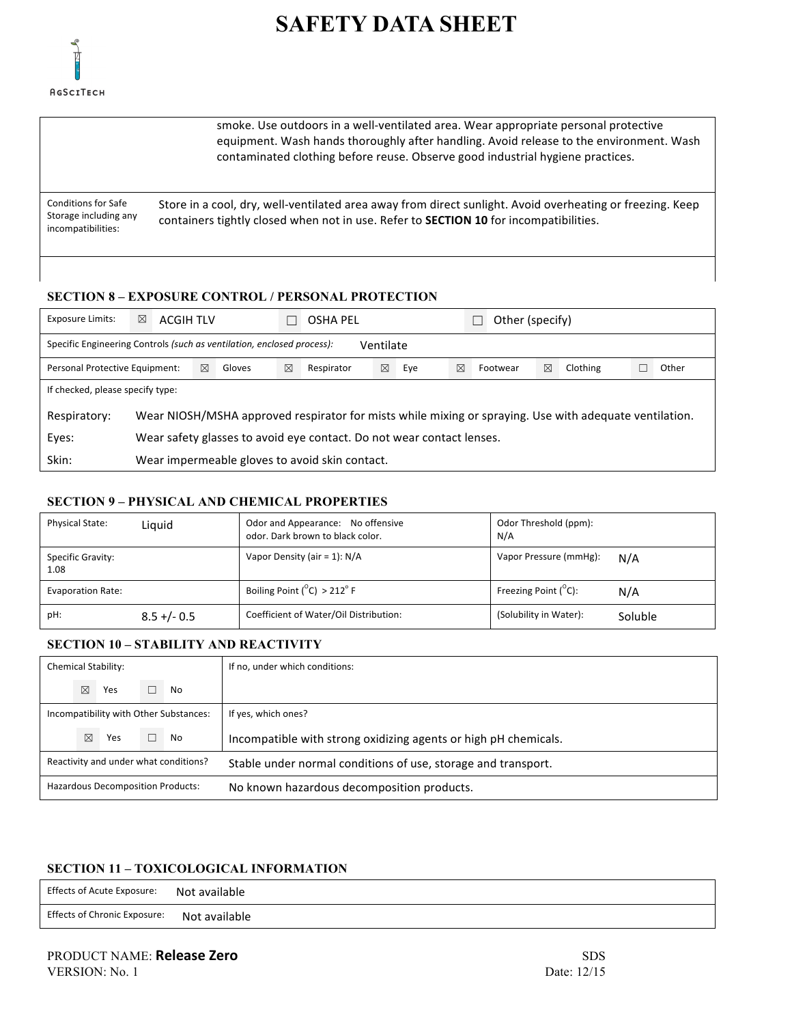

smoke. Use outdoors in a well-ventilated area. Wear appropriate personal protective equipment. Wash hands thoroughly after handling. Avoid release to the environment. Wash contaminated clothing before reuse. Observe good industrial hygiene practices. Conditions for Safe Storage including any incompatibilities: Store in a cool, dry, well-ventilated area away from direct sunlight. Avoid overheating or freezing. Keep containers tightly closed when not in use. Refer to **SECTION 10** for incompatibilities.

## **SECTION 8 – EXPOSURE CONTROL / PERSONAL PROTECTION**

| <b>Exposure Limits:</b>                                                             | ⊠                                                                                                      | <b>ACGIH TLV</b>                               |             |        |   | OSHA PEL   |             |     |   | Other (specify) |   |          |       |
|-------------------------------------------------------------------------------------|--------------------------------------------------------------------------------------------------------|------------------------------------------------|-------------|--------|---|------------|-------------|-----|---|-----------------|---|----------|-------|
| Specific Engineering Controls (such as ventilation, enclosed process):<br>Ventilate |                                                                                                        |                                                |             |        |   |            |             |     |   |                 |   |          |       |
| Personal Protective Equipment:                                                      |                                                                                                        |                                                | $\boxtimes$ | Gloves | ⊠ | Respirator | $\boxtimes$ | Eye | ⊠ | Footwear        | ⊠ | Clothing | Other |
| If checked, please specify type:                                                    |                                                                                                        |                                                |             |        |   |            |             |     |   |                 |   |          |       |
| Respiratory:                                                                        | Wear NIOSH/MSHA approved respirator for mists while mixing or spraying. Use with adequate ventilation. |                                                |             |        |   |            |             |     |   |                 |   |          |       |
| Eyes:                                                                               | Wear safety glasses to avoid eye contact. Do not wear contact lenses.                                  |                                                |             |        |   |            |             |     |   |                 |   |          |       |
| Skin:                                                                               |                                                                                                        | Wear impermeable gloves to avoid skin contact. |             |        |   |            |             |     |   |                 |   |          |       |

#### **SECTION 9 – PHYSICAL AND CHEMICAL PROPERTIES**

| <b>Physical State:</b>    | Liauid         | Odor and Appearance: No offensive<br>odor. Dark brown to black color. | Odor Threshold (ppm):<br>N/A          |
|---------------------------|----------------|-----------------------------------------------------------------------|---------------------------------------|
| Specific Gravity:<br>1.08 |                | Vapor Density (air = 1): N/A                                          | Vapor Pressure (mmHg):<br>N/A         |
| <b>Evaporation Rate:</b>  |                | Boiling Point $(^{\circ}C)$ > 212 $^{\circ}$ F                        | Freezing Point $(^{\circ}C)$ :<br>N/A |
| pH:                       | $8.5 + (-0.5)$ | Coefficient of Water/Oil Distribution:                                | (Solubility in Water):<br>Soluble     |

#### **SECTION 10 – STABILITY AND REACTIVITY**

|                                          |             | Chemical Stability: |                                        | If no, under which conditions:                                  |
|------------------------------------------|-------------|---------------------|----------------------------------------|-----------------------------------------------------------------|
|                                          | $\boxtimes$ | Yes                 | No                                     |                                                                 |
|                                          |             |                     | Incompatibility with Other Substances: | If yes, which ones?                                             |
|                                          | $\nabla$    | Yes                 | No                                     | Incompatible with strong oxidizing agents or high pH chemicals. |
| Reactivity and under what conditions?    |             |                     |                                        | Stable under normal conditions of use, storage and transport.   |
| <b>Hazardous Decomposition Products:</b> |             |                     |                                        | No known hazardous decomposition products.                      |

## **SECTION 11 – TOXICOLOGICAL INFORMATION**

| Effects of Acute Exposure: Not available   |  |
|--------------------------------------------|--|
| Effects of Chronic Exposure: Not available |  |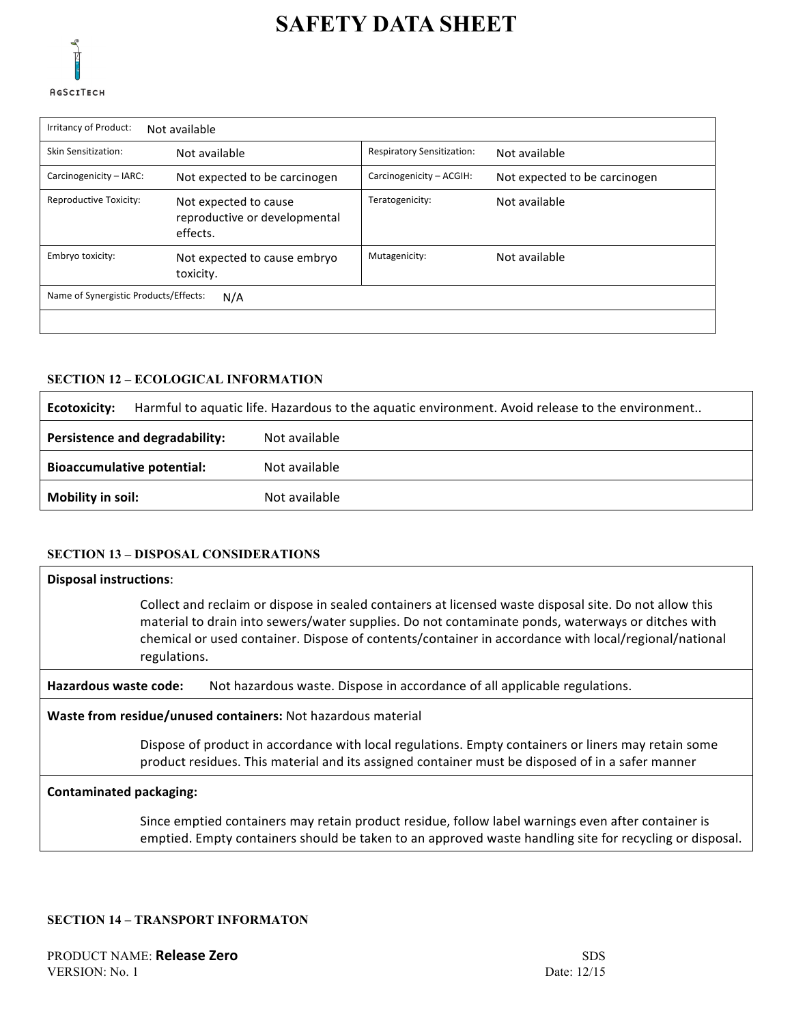

'n

# **SAFETY DATA SHEET**

| Irritancy of Product:<br>Not available       |                                                                    |                                   |                               |  |  |  |  |  |
|----------------------------------------------|--------------------------------------------------------------------|-----------------------------------|-------------------------------|--|--|--|--|--|
| Skin Sensitization:                          | Not available                                                      | <b>Respiratory Sensitization:</b> | Not available                 |  |  |  |  |  |
| Carcinogenicity - IARC:                      | Not expected to be carcinogen                                      | Carcinogenicity - ACGIH:          | Not expected to be carcinogen |  |  |  |  |  |
| <b>Reproductive Toxicity:</b>                | Not expected to cause<br>reproductive or developmental<br>effects. | Teratogenicity:                   | Not available                 |  |  |  |  |  |
| Embryo toxicity:                             | Not expected to cause embryo<br>toxicity.                          | Mutagenicity:                     | Not available                 |  |  |  |  |  |
| Name of Synergistic Products/Effects:<br>N/A |                                                                    |                                   |                               |  |  |  |  |  |
|                                              |                                                                    |                                   |                               |  |  |  |  |  |

#### **SECTION 12 – ECOLOGICAL INFORMATION**

| Ecotoxicity:                      | Harmful to aquatic life. Hazardous to the aquatic environment. Avoid release to the environment |  |  |
|-----------------------------------|-------------------------------------------------------------------------------------------------|--|--|
| Persistence and degradability:    | Not available                                                                                   |  |  |
| <b>Bioaccumulative potential:</b> | Not available                                                                                   |  |  |
| Mobility in soil:                 | Not available                                                                                   |  |  |

## **SECTION 13 – DISPOSAL CONSIDERATIONS**

| <b>Disposal instructions:</b>                                                                                                                                                                           |                                                                                                                                                                                                                                                                                                                                     |  |
|---------------------------------------------------------------------------------------------------------------------------------------------------------------------------------------------------------|-------------------------------------------------------------------------------------------------------------------------------------------------------------------------------------------------------------------------------------------------------------------------------------------------------------------------------------|--|
|                                                                                                                                                                                                         | Collect and reclaim or dispose in sealed containers at licensed waste disposal site. Do not allow this<br>material to drain into sewers/water supplies. Do not contaminate ponds, waterways or ditches with<br>chemical or used container. Dispose of contents/container in accordance with local/regional/national<br>regulations. |  |
| Hazardous waste code:<br>Not hazardous waste. Dispose in accordance of all applicable regulations.                                                                                                      |                                                                                                                                                                                                                                                                                                                                     |  |
| Waste from residue/unused containers: Not hazardous material                                                                                                                                            |                                                                                                                                                                                                                                                                                                                                     |  |
| Dispose of product in accordance with local regulations. Empty containers or liners may retain some<br>product residues. This material and its assigned container must be disposed of in a safer manner |                                                                                                                                                                                                                                                                                                                                     |  |
| <b>Contaminated packaging:</b>                                                                                                                                                                          |                                                                                                                                                                                                                                                                                                                                     |  |
|                                                                                                                                                                                                         | Since emptied containers may retain product residue, follow label warnings even after container is<br>emptied. Empty containers should be taken to an approved waste handling site for recycling or disposal.                                                                                                                       |  |

#### **SECTION 14 – TRANSPORT INFORMATON**